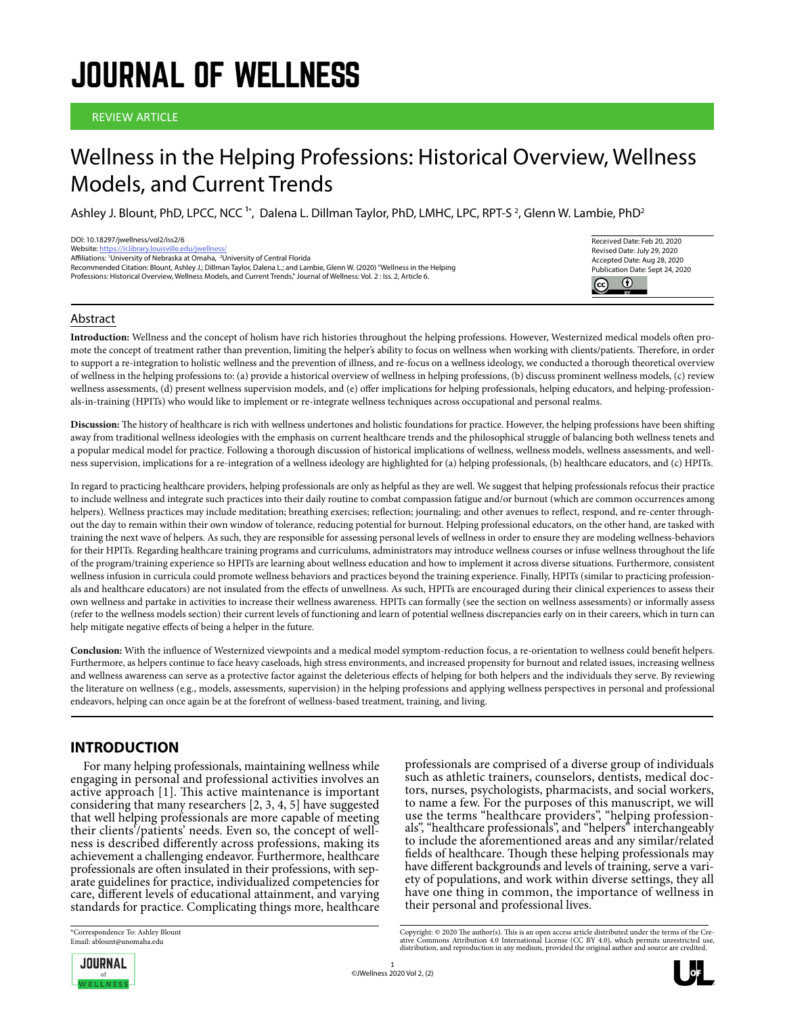# JOURNAL OF WELLNESS

#### REVIEW ARTICLE

# Wellness in the Helping Professions: Historical Overview, Wellness Models, and Current Trends

Ashley J. Blount, PhD, LPCC, NCC <sup>1</sup>\*, Dalena L. Dillman Taylor, PhD, LMHC, LPC, RPT-S <sup>2</sup>, Glenn W. Lambie, PhD<sup>2</sup>

| DOI: 10.18297/jwellness/vol2/iss2/6                                                                                      |
|--------------------------------------------------------------------------------------------------------------------------|
| Website: https://ir.library.louisville.edu/iwellness/                                                                    |
| Affiliations: 'University of Nebraska at Omaha, <sup>2</sup> University of Central Florida                               |
| Recommended Citation: Blount, Ashley J.; Dillman Taylor, Dalena L.; and Lambie, Glenn W. (2020) "Wellness in the Helping |
| Professions: Historical Overview. Wellness Models, and Current Trends." Journal of Wellness: Vol. 2: Iss. 2. Article 6.  |
|                                                                                                                          |
|                                                                                                                          |



#### Abstract

**Introduction:** Wellness and the concept of holism have rich histories throughout the helping professions. However, Westernized medical models often promote the concept of treatment rather than prevention, limiting the helper's ability to focus on wellness when working with clients/patients. Therefore, in order to support a re-integration to holistic wellness and the prevention of illness, and re-focus on a wellness ideology, we conducted a thorough theoretical overview of wellness in the helping professions to: (a) provide a historical overview of wellness in helping professions, (b) discuss prominent wellness models, (c) review wellness assessments, (d) present wellness supervision models, and (e) offer implications for helping professionals, helping educators, and helping-professionals-in-training (HPITs) who would like to implement or re-integrate wellness techniques across occupational and personal realms.

**Discussion:** The history of healthcare is rich with wellness undertones and holistic foundations for practice. However, the helping professions have been shifting away from traditional wellness ideologies with the emphasis on current healthcare trends and the philosophical struggle of balancing both wellness tenets and a popular medical model for practice. Following a thorough discussion of historical implications of wellness, wellness models, wellness assessments, and wellness supervision, implications for a re-integration of a wellness ideology are highlighted for (a) helping professionals, (b) healthcare educators, and (c) HPITs.

In regard to practicing healthcare providers, helping professionals are only as helpful as they are well. We suggest that helping professionals refocus their practice to include wellness and integrate such practices into their daily routine to combat compassion fatigue and/or burnout (which are common occurrences among helpers). Wellness practices may include meditation; breathing exercises; reflection; journaling; and other avenues to reflect, respond, and re-center throughout the day to remain within their own window of tolerance, reducing potential for burnout. Helping professional educators, on the other hand, are tasked with training the next wave of helpers. As such, they are responsible for assessing personal levels of wellness in order to ensure they are modeling wellness-behaviors for their HPITs. Regarding healthcare training programs and curriculums, administrators may introduce wellness courses or infuse wellness throughout the life of the program/training experience so HPITs are learning about wellness education and how to implement it across diverse situations. Furthermore, consistent wellness infusion in curricula could promote wellness behaviors and practices beyond the training experience. Finally, HPITs (similar to practicing professionals and healthcare educators) are not insulated from the effects of unwellness. As such, HPITs are encouraged during their clinical experiences to assess their own wellness and partake in activities to increase their wellness awareness. HPITs can formally (see the section on wellness assessments) or informally assess (refer to the wellness models section) their current levels of functioning and learn of potential wellness discrepancies early on in their careers, which in turn can help mitigate negative effects of being a helper in the future.

**Conclusion:** With the influence of Westernized viewpoints and a medical model symptom-reduction focus, a re-orientation to wellness could benefit helpers. Furthermore, as helpers continue to face heavy caseloads, high stress environments, and increased propensity for burnout and related issues, increasing wellness and wellness awareness can serve as a protective factor against the deleterious effects of helping for both helpers and the individuals they serve. By reviewing the literature on wellness (e.g., models, assessments, supervision) in the helping professions and applying wellness perspectives in personal and professional endeavors, helping can once again be at the forefront of wellness-based treatment, training, and living.

# **INTRODUCTION**

For many helping professionals, maintaining wellness while engaging in personal and professional activities involves an active approach [1]. This active maintenance is important considering that many researchers [2, 3, 4, 5] have suggested that well helping professionals are more capable of meeting<br>their clients'/patients' needs. Even so, the concept of wellness is described differently across professions, making its achievement a challenging endeavor. Furthermore, healthcare professionals are often insulated in their professions, with separate guidelines for practice, individualized competencies for care, different levels of educational attainment, and varying standards for practice. Complicating things more, healthcare professionals are comprised of a diverse group of individuals such as athletic trainers, counselors, dentists, medical doctors, nurses, psychologists, pharmacists, and social workers, to name a few. For the purposes of this manuscript, we will use the terms "healthcare providers", "helping profession- als", "healthcare professionals", and "helpers" interchangeably to include the aforementioned areas and any similar/related fields of healthcare. Though these helping professionals may have different backgrounds and levels of training, serve a vari ety of populations, and work within diverse settings, they all have one thing in common, the importance of wellness in their personal and professional lives.

\*Correspondence To: Ashley Blount Email: ablount@unomaha.edu

**JOURNAL** 

Copyright: © 2020 The author(s). This is an open access article distributed under the terms of the Cre-<br>ative Commons Attribution 4.0 International License (CC BY 4.0), which permits unrestricted use,<br>distribution, and re

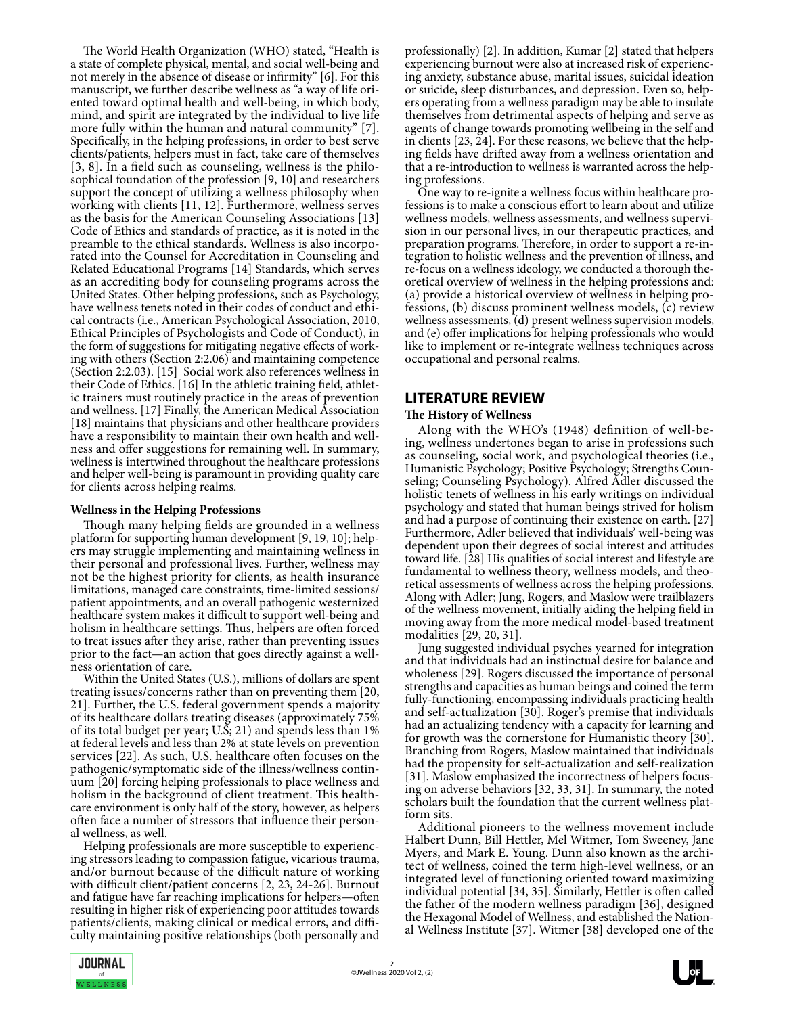The World Health Organization (WHO) stated, "Health is a state of complete physical, mental, and social well-being and not merely in the absence of disease or infirmity" [6]. For this manuscript, we further describe wellness as "a way of life oriented toward optimal health and well-being, in which body, mind, and spirit are integrated by the individual to live life more fully within the human and natural community" [7]. Specifically, in the helping professions, in order to best serve clients/patients, helpers must in fact, take care of themselves [3, 8]. In a field such as counseling, wellness is the philosophical foundation of the profession [9, 10] and researchers support the concept of utilizing a wellness philosophy when working with clients [11, 12]. Furthermore, wellness serves as the basis for the American Counseling Associations [13] Code of Ethics and standards of practice, as it is noted in the preamble to the ethical standards. Wellness is also incorporated into the Counsel for Accreditation in Counseling and Related Educational Programs [14] Standards, which serves as an accrediting body for counseling programs across the United States. Other helping professions, such as Psychology, have wellness tenets noted in their codes of conduct and ethi cal contracts (i.e., American Psychological Association, 2010, Ethical Principles of Psychologists and Code of Conduct), in the form of suggestions for mitigating negative effects of working with others (Section 2:2.06) and maintaining competence (Section 2:2.03). [15] Social work also references wellness in their Code of Ethics. [16] In the athletic training field, athlet- ic trainers must routinely practice in the areas of prevention and wellness. [17] Finally, the American Medical Association [18] maintains that physicians and other healthcare providers have a responsibility to maintain their own health and wellness and offer suggestions for remaining well. In summary, wellness is intertwined throughout the healthcare professions and helper well-being is paramount in providing quality care for clients across helping realms.

#### **Wellness in the Helping Professions**

Though many helping fields are grounded in a wellness platform for supporting human development [9, 19, 10]; helpers may struggle implementing and maintaining wellness in their personal and professional lives. Further, wellness may not be the highest priority for clients, as health insurance limitations, managed care constraints, time-limited sessions/ patient appointments, and an overall pathogenic westernized healthcare system makes it difficult to support well-being and holism in healthcare settings. Thus, helpers are often forced to treat issues after they arise, rather than preventing issues prior to the fact—an action that goes directly against a wellness orientation of care.

Within the United States (U.S.), millions of dollars are spent treating issues/concerns rather than on preventing them [20, 21]. Further, the U.S. federal government spends a majority of its healthcare dollars treating diseases (approximately 75% of its total budget per year; U.S; 21) and spends less than 1% at federal levels and less than 2% at state levels on prevention services [22]. As such, U.S. healthcare often focuses on the pathogenic/symptomatic side of the illness/wellness continuum [20] forcing helping professionals to place wellness and holism in the background of client treatment. This healthcare environment is only half of the story, however, as helpers often face a number of stressors that influence their personal wellness, as well.

Helping professionals are more susceptible to experiencing stressors leading to compassion fatigue, vicarious trauma, and/or burnout because of the difficult nature of working with difficult client/patient concerns [2, 23, 24-26]. Burnout and fatigue have far reaching implications for helpers—often resulting in higher risk of experiencing poor attitudes towards patients/clients, making clinical or medical errors, and diffi culty maintaining positive relationships (both personally and

professionally) [2]. In addition, Kumar [2] stated that helpers experiencing burnout were also at increased risk of experiencing anxiety, substance abuse, marital issues, suicidal ideation or suicide, sleep disturbances, and depression. Even so, helpers operating from a wellness paradigm may be able to insulate themselves from detrimental aspects of helping and serve as agents of change towards promoting wellbeing in the self and in clients [23, 24]. For these reasons, we believe that the helping fields have drifted away from a wellness orientation and that a re-introduction to wellness is warranted across the helping professions.

One way to re-ignite a wellness focus within healthcare professions is to make a conscious effort to learn about and utilize wellness models, wellness assessments, and wellness supervision in our personal lives, in our therapeutic practices, and preparation programs. Therefore, in order to support a re-integration to holistic wellness and the prevention of illness, and re-focus on a wellness ideology, we conducted a thorough theoretical overview of wellness in the helping professions and: (a) provide a historical overview of wellness in helping professions, (b) discuss prominent wellness models, (c) review wellness assessments, (d) present wellness supervision models, and (e) offer implications for helping professionals who would like to implement or re-integrate wellness techniques across occupational and personal realms.

### **LITERATURE REVIEW**

#### **The History of Wellness**

Along with the WHO's (1948) definition of well-be- ing, wellness undertones began to arise in professions such as counseling, social work, and psychological theories (i.e., Humanistic Psychology; Positive Psychology; Strengths Counseling; Counseling Psychology). Alfred Adler discussed the holistic tenets of wellness in his early writings on individual psychology and stated that human beings strived for holism and had a purpose of continuing their existence on earth. [27] Furthermore, Adler believed that individuals' well-being was dependent upon their degrees of social interest and attitudes toward life. [28] His qualities of social interest and lifestyle are fundamental to wellness theory, wellness models, and theoretical assessments of wellness across the helping professions. Along with Adler; Jung, Rogers, and Maslow were trailblazers of the wellness movement, initially aiding the helping field in moving away from the more medical model-based treatment modalities [29, 20, 31].

Jung suggested individual psyches yearned for integration and that individuals had an instinctual desire for balance and wholeness [29]. Rogers discussed the importance of personal strengths and capacities as human beings and coined the term fully-functioning, encompassing individuals practicing health and self-actualization [30]. Roger's premise that individuals had an actualizing tendency with a capacity for learning and for growth was the cornerstone for Humanistic theory [30]. Branching from Rogers, Maslow maintained that individuals had the propensity for self-actualization and self-realization [31]. Maslow emphasized the incorrectness of helpers focusing on adverse behaviors [32, 33, 31]. In summary, the noted scholars built the foundation that the current wellness platform sits.

Additional pioneers to the wellness movement include Halbert Dunn, Bill Hettler, Mel Witmer, Tom Sweeney, Jane tect of wellness, coined the term high-level wellness, or an integrated level of functioning oriented toward maximizing individual potential [34, 35]. Similarly, Hettler is often called the father of the modern wellness paradigm [36], designed the Hexagonal Model of Wellness, and established the National Wellness Institute [37]. Witmer [38] developed one of the

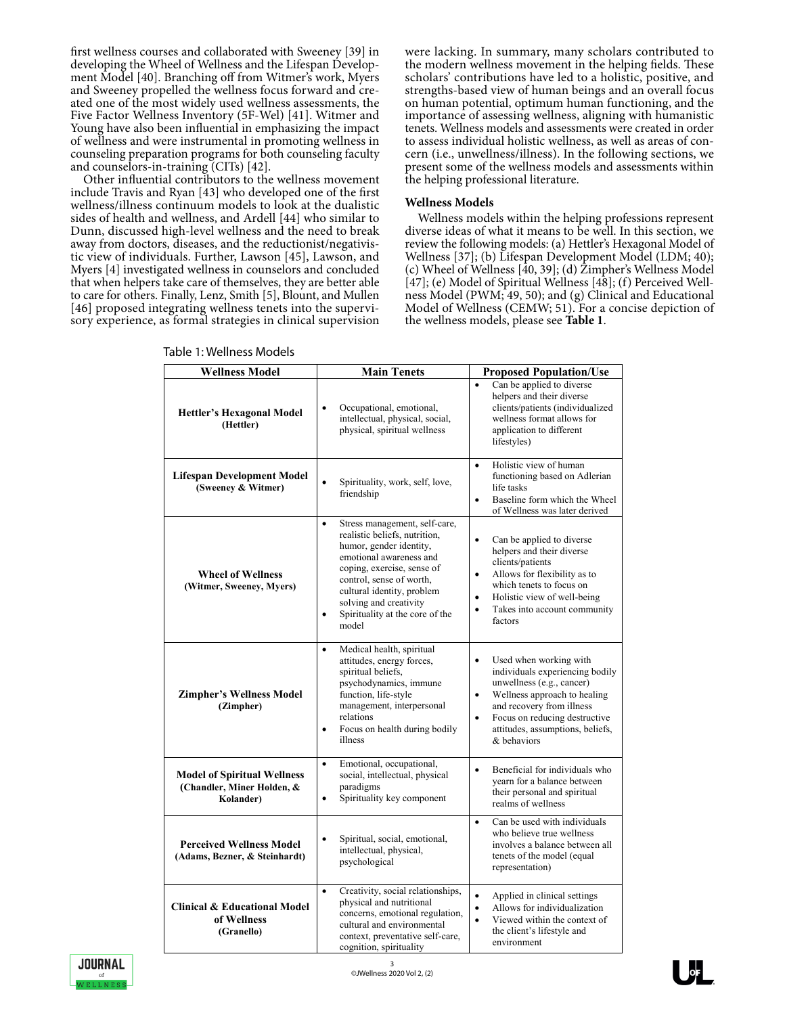first wellness courses and collaborated with Sweeney [39] in developing the Wheel of Wellness and the Lifespan Development Model [40]. Branching off from Witmer's work, Myers and Sweeney propelled the wellness focus forward and created one of the most widely used wellness assessments, the Five Factor Wellness Inventory (5F-Wel) [41]. Witmer and Young have also been influential in emphasizing the impact of wellness and were instrumental in promoting wellness in counseling preparation programs for both counseling faculty and counselors-in-training (CITs) [42].

Other influential contributors to the wellness movement include Travis and Ryan [43] who developed one of the first wellness/illness continuum models to look at the dualistic sides of health and wellness, and Ardell [44] who similar to Dunn, discussed high-level wellness and the need to break away from doctors, diseases, and the reductionist/negativistic view of individuals. Further, Lawson [45], Lawson, and Myers [4] investigated wellness in counselors and concluded that when helpers take care of themselves, they are better able to care for others. Finally, Lenz, Smith [5], Blount, and Mullen [46] proposed integrating wellness tenets into the supervi- sory experience, as formal strategies in clinical supervision were lacking. In summary, many scholars contributed to the modern wellness movement in the helping fields. These scholars' contributions have led to a holistic, positive, and strengths-based view of human beings and an overall focus on human potential, optimum human functioning, and the importance of assessing wellness, aligning with humanistic tenets. Wellness models and assessments were created in order to assess individual holistic wellness, as well as areas of concern (i.e., unwellness/illness). In the following sections, we present some of the wellness models and assessments within the helping professional literature.

#### **Wellness Models**

Wellness models within the helping professions represent diverse ideas of what it means to be well. In this section, we review the following models: (a) Hettler's Hexagonal Model of Wellness [37]; (b) Lifespan Development Model (LDM; 40); (c) Wheel of Wellness [40, 39]; (d) Zimpher's Wellness Model [47]; (e) Model of Spiritual Wellness [48]; (f) Perceived Wellness Model (PWM; 49, 50); and (g) Clinical and Educational Model of Wellness (CEMW; 51). For a concise depiction of the wellness models, please see **Table 1**.

| <b>Wellness Model</b>                                                         | <b>Main Tenets</b>                                                                                                                                                                                                                                                                                           | <b>Proposed Population/Use</b>                                                                                                                                                                                                                                                 |
|-------------------------------------------------------------------------------|--------------------------------------------------------------------------------------------------------------------------------------------------------------------------------------------------------------------------------------------------------------------------------------------------------------|--------------------------------------------------------------------------------------------------------------------------------------------------------------------------------------------------------------------------------------------------------------------------------|
|                                                                               |                                                                                                                                                                                                                                                                                                              | Can be applied to diverse<br>$\bullet$                                                                                                                                                                                                                                         |
| <b>Hettler's Hexagonal Model</b><br>(Hettler)                                 | Occupational, emotional,<br>$\bullet$<br>intellectual, physical, social,<br>physical, spiritual wellness                                                                                                                                                                                                     | helpers and their diverse<br>clients/patients (individualized<br>wellness format allows for<br>application to different<br>lifestyles)                                                                                                                                         |
| Lifespan Development Model<br>(Sweeney & Witmer)                              | Spirituality, work, self, love,<br>$\bullet$<br>friendship                                                                                                                                                                                                                                                   | Holistic view of human<br>$\bullet$<br>functioning based on Adlerian<br>life tasks<br>Baseline form which the Wheel<br>$\bullet$<br>of Wellness was later derived                                                                                                              |
| <b>Wheel of Wellness</b><br>(Witmer, Sweeney, Myers)                          | Stress management, self-care,<br>$\bullet$<br>realistic beliefs, nutrition,<br>humor, gender identity,<br>emotional awareness and<br>coping, exercise, sense of<br>control, sense of worth,<br>cultural identity, problem<br>solving and creativity<br>Spirituality at the core of the<br>$\bullet$<br>model | $\bullet$<br>Can be applied to diverse<br>helpers and their diverse<br>clients/patients<br>Allows for flexibility as to<br>$\bullet$<br>which tenets to focus on<br>Holistic view of well-being<br>$\bullet$<br>Takes into account community<br>$\bullet$<br>factors           |
| <b>Zimpher's Wellness Model</b><br>(Zimpher)                                  | Medical health, spiritual<br>$\bullet$<br>attitudes, energy forces,<br>spiritual beliefs.<br>psychodynamics, immune<br>function, life-style<br>management, interpersonal<br>relations<br>Focus on health during bodily<br>$\bullet$<br>illness                                                               | Used when working with<br>$\bullet$<br>individuals experiencing bodily<br>unwellness (e.g., cancer)<br>Wellness approach to healing<br>$\bullet$<br>and recovery from illness<br>Focus on reducing destructive<br>$\bullet$<br>attitudes, assumptions, beliefs,<br>& behaviors |
| <b>Model of Spiritual Wellness</b><br>(Chandler, Miner Holden, &<br>Kolander) | Emotional, occupational,<br>$\bullet$<br>social, intellectual, physical<br>paradigms<br>Spirituality key component<br>$\bullet$                                                                                                                                                                              | Beneficial for individuals who<br>$\bullet$<br>yearn for a balance between<br>their personal and spiritual<br>realms of wellness                                                                                                                                               |
| <b>Perceived Wellness Model</b><br>(Adams, Bezner, & Steinhardt)              | Spiritual, social, emotional,<br>$\bullet$<br>intellectual, physical,<br>psychological                                                                                                                                                                                                                       | Can be used with individuals<br>$\bullet$<br>who believe true wellness<br>involves a balance between all<br>tenets of the model (equal<br>representation)                                                                                                                      |
| <b>Clinical &amp; Educational Model</b><br>of Wellness<br>(Granello)          | Creativity, social relationships,<br>$\bullet$<br>physical and nutritional<br>concerns, emotional regulation,<br>cultural and environmental<br>context, preventative self-care,<br>cognition, spirituality                                                                                                   | $\bullet$<br>Applied in clinical settings<br>Allows for individualization<br>$\bullet$<br>Viewed within the context of<br>$\bullet$<br>the client's lifestyle and<br>environment                                                                                               |

#### Table 1: Wellness Models

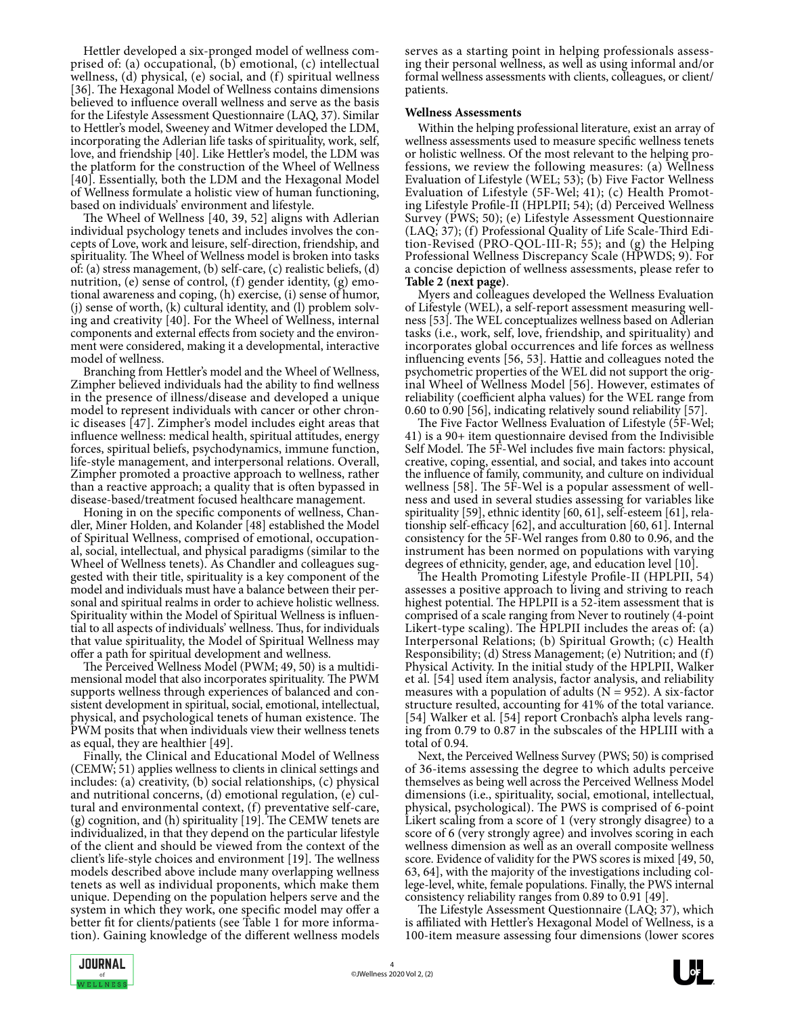Hettler developed a six-pronged model of wellness com- prised of: (a) occupational, (b) emotional, (c) intellectual wellness, (d) physical, (e) social, and (f) spiritual wellness [36]. The Hexagonal Model of Wellness contains dimensions believed to influence overall wellness and serve as the basis for the Lifestyle Assessment Questionnaire (LAQ, 37). Similar to Hettler's model, Sweeney and Witmer developed the LDM, incorporating the Adlerian life tasks of spirituality, work, self, love, and friendship [40]. Like Hettler's model, the LDM was the platform for the construction of the Wheel of Wellness [40]. Essentially, both the LDM and the Hexagonal Model of Wellness formulate a holistic view of human functioning, based on individuals' environment and lifestyle.

The Wheel of Wellness [40, 39, 52] aligns with Adlerian individual psychology tenets and includes involves the concepts of Love, work and leisure, self-direction, friendship, and spirituality. The Wheel of Wellness model is broken into tasks of: (a) stress management, (b) self-care, (c) realistic beliefs, (d) nutrition, (e) sense of control, (f) gender identity, (g) emotional awareness and coping, (h) exercise, (i) sense of humor, (j) sense of worth, (k) cultural identity, and (l) problem solving and creativity  $[40]$ . For the Wheel of Wellness, internal components and external effects from society and the environ ment were considered, making it a developmental, interactive model of wellness.

Branching from Hettler's model and the Wheel of Wellness, Zimpher believed individuals had the ability to find wellness in the presence of illness/disease and developed a unique model to represent individuals with cancer or other chronic diseases [47]. Zimpher's model includes eight areas that influence wellness: medical health, spiritual attitudes, energy forces, spiritual beliefs, psychodynamics, immune function, life-style management, and interpersonal relations. Overall, Zimpher promoted a proactive approach to wellness, rather than a reactive approach; a quality that is often bypassed in disease-based/treatment focused healthcare management.

Honing in on the specific components of wellness, Chandler, Miner Holden, and Kolander [48] established the Model of Spiritual Wellness, comprised of emotional, occupational, social, intellectual, and physical paradigms (similar to the Wheel of Wellness tenets). As Chandler and colleagues suggested with their title, spirituality is a key component of the model and individuals must have a balance between their personal and spiritual realms in order to achieve holistic wellness. Spirituality within the Model of Spiritual Wellness is influential to all aspects of individuals' wellness. Thus, for individuals that value spirituality, the Model of Spiritual Wellness may offer a path for spiritual development and wellness.

The Perceived Wellness Model (PWM; 49, 50) is a multidimensional model that also incorporates spirituality. The PWM supports wellness through experiences of balanced and consistent development in spiritual, social, emotional, intellectual, physical, and psychological tenets of human existence. The PWM posits that when individuals view their wellness tenets as equal, they are healthier [49].

Finally, the Clinical and Educational Model of Wellness (CEMW; 51) applies wellness to clients in clinical settings and includes: (a) creativity, (b) social relationships, (c) physical and nutritional concerns, (d) emotional regulation, (e) cul- tural and environmental context, (f) preventative self-care, (g) cognition, and (h) spirituality [19]. The CEMW tenets are individualized, in that they depend on the particular lifestyle of the client and should be viewed from the context of the client's life-style choices and environment [19]. The wellness models described above include many overlapping wellness tenets as well as individual proponents, which make them unique. Depending on the population helpers serve and the system in which they work, one specific model may offer a better fit for clients/patients (see Table 1 for more information). Gaining knowledge of the different wellness models serves as a starting point in helping professionals assess- ing their personal wellness, as well as using informal and/or formal wellness assessments with clients, colleagues, or client/ patients.

#### **Wellness Assessments**

Within the helping professional literature, exist an array of wellness assessments used to measure specific wellness tenets<br>or holistic wellness. Of the most relevant to the helping professions, we review the following measures: (a) Wellness Evaluation of Lifestyle (WEL; 53); (b) Five Factor Wellness Evaluation of Lifestyle (5F-Wel; 41); (c) Health Promoting Lifestyle Profile-II (HPLPII; 54); (d) Perceived Wellness Survey (PWS; 50); (e) Lifestyle Assessment Questionnaire tion-Revised (PRO-QOL-III-R; 55); and (g) the Helping Professional Wellness Discrepancy Scale (HPWDS; 9). For a concise depiction of wellness assessments, please refer to

**Table 2 (next page)**. Myers and colleagues developed the Wellness Evaluation of Lifestyle (WEL), a self-report assessment measuring well ness [53]. The WEL conceptualizes wellness based on Adlerian tasks (i.e., work, self, love, friendship, and spirituality) and incorporates global occurrences and life forces as wellness influencing events [56, 53]. Hattie and colleagues noted the psychometric properties of the WEL did not support the original Wheel of Wellness Model [56]. However, estimates of reliability (coefficient alpha values) for the WEL range from 0.60 to 0.90 [56], indicating relatively sound reliability [57].

The Five Factor Wellness Evaluation of Lifestyle (5F-Wel; 41) is a 90+ item questionnaire devised from the Indivisible Self Model. The 5F-Wel includes five main factors: physical, creative, coping, essential, and social, and takes into account the influence of family, community, and culture on individual ness and used in several studies assessing for variables like spirituality [59], ethnic identity [60, 61], self-esteem [61], relationship self-efficacy [62], and acculturation [60, 61]. Internal consistency for the 5F-Wel ranges from 0.80 to 0.96, and the instrument has been normed on populations with varying degrees of ethnicity, gender, age, and education level [10].

The Health Promoting Lifestyle Profile-II (HPLPII, 54) assesses a positive approach to living and striving to reach highest potential. The HPLPII is a 52-item assessment that is comprised of a scale ranging from Never to routinely (4-point Likert-type scaling). The HPLPII includes the areas of: (a) Interpersonal Relations; (b) Spiritual Growth; (c) Health Responsibility; (d) Stress Management; (e) Nutrition; and (f) Physical Activity. In the initial study of the HPLPII, Walker et al. [54] used item analysis, factor analysis, and reliability measures with a population of adults ( $N = 952$ ). A six-factor structure resulted, accounting for 41% of the total variance. [54] Walker et al. [54] report Cronbach's alpha levels ranging from 0.79 to 0.87 in the subscales of the HPLIII with a total of 0.94.

Next, the Perceived Wellness Survey (PWS; 50) is comprised of 36-items assessing the degree to which adults perceive themselves as being well across the Perceived Wellness Model dimensions (i.e., spirituality, social, emotional, intellectual, physical, psychological). The PWS is comprised of 6-point Likert scaling from a score of 1 (very strongly disagree) to a score of 6 (very strongly agree) and involves scoring in each wellness dimension as well as an overall composite wellness score. Evidence of validity for the PWS scores is mixed [49, 50, 63, 64], with the majority of the investigations including col lege-level, white, female populations. Finally, the PWS internal consistency reliability ranges from 0.89 to 0.91 [49].

The Lifestyle Assessment Questionnaire (LAQ; 37), which is affiliated with Hettler's Hexagonal Model of Wellness, is a 100-item measure assessing four dimensions (lower scores

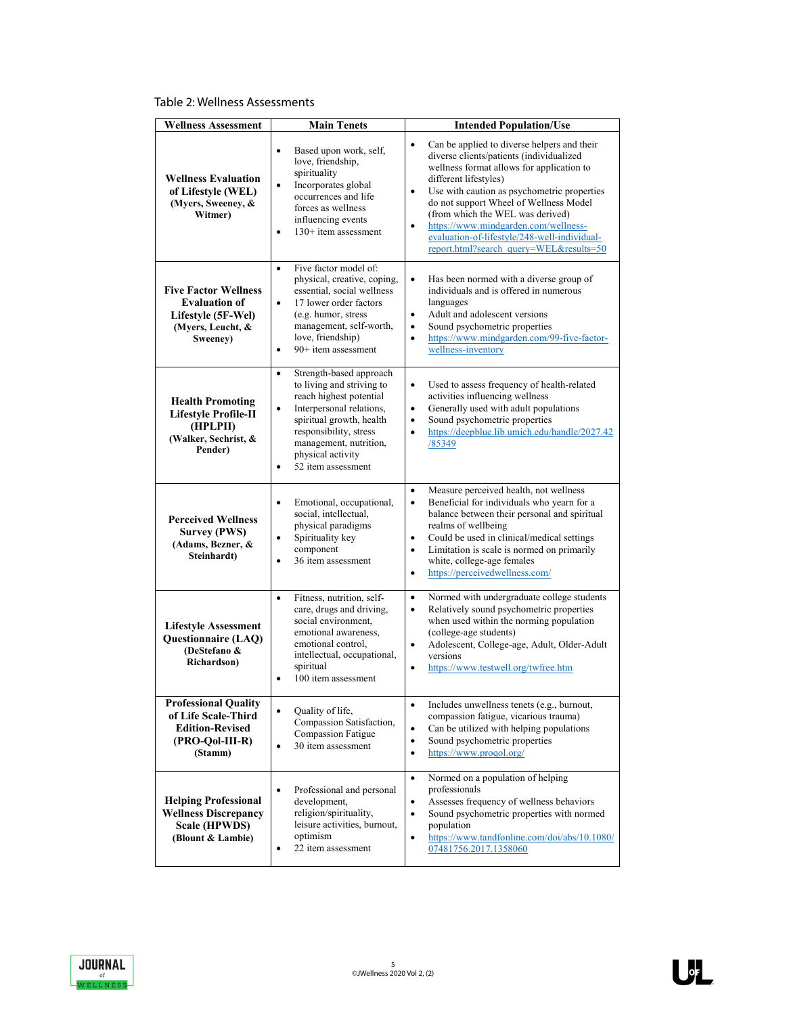Table 2: Wellness Assessments

| <b>Wellness Assessment</b>                                                                                 | <b>Main Tenets</b>                                                                                                                                                                                                                                                            | <b>Intended Population/Use</b>                                                                                                                                                                                                                                                                                                                                                                                                                                       |
|------------------------------------------------------------------------------------------------------------|-------------------------------------------------------------------------------------------------------------------------------------------------------------------------------------------------------------------------------------------------------------------------------|----------------------------------------------------------------------------------------------------------------------------------------------------------------------------------------------------------------------------------------------------------------------------------------------------------------------------------------------------------------------------------------------------------------------------------------------------------------------|
| <b>Wellness Evaluation</b><br>of Lifestyle (WEL)<br>(Myers, Sweeney, &<br>Witmer)                          | $\bullet$<br>Based upon work, self,<br>love, friendship,<br>spirituality<br>Incorporates global<br>$\bullet$<br>occurrences and life<br>forces as wellness<br>influencing events<br>$130+$ item assessment<br>$\bullet$                                                       | Can be applied to diverse helpers and their<br>$\bullet$<br>diverse clients/patients (individualized<br>wellness format allows for application to<br>different lifestyles)<br>Use with caution as psychometric properties<br>$\bullet$<br>do not support Wheel of Wellness Model<br>(from which the WEL was derived)<br>https://www.mindgarden.com/wellness-<br>$\bullet$<br>evaluation-of-lifestyle/248-well-individual-<br>report.html?search_query=WEL&results=50 |
| <b>Five Factor Wellness</b><br><b>Evaluation of</b><br>Lifestyle (5F-Wel)<br>(Myers, Leucht, &<br>Sweeney) | Five factor model of:<br>$\bullet$<br>physical, creative, coping,<br>essential, social wellness<br>17 lower order factors<br>$\bullet$<br>(e.g. humor, stress<br>management, self-worth,<br>love, friendship)<br>$90+$ item assessment<br>$\bullet$                           | $\bullet$<br>Has been normed with a diverse group of<br>individuals and is offered in numerous<br>languages<br>Adult and adolescent versions<br>$\bullet$<br>Sound psychometric properties<br>$\bullet$<br>https://www.mindgarden.com/99-five-factor-<br>$\bullet$<br>wellness-inventory                                                                                                                                                                             |
| <b>Health Promoting</b><br><b>Lifestyle Profile-II</b><br>(HPLPII)<br>(Walker, Sechrist, &<br>Pender)      | Strength-based approach<br>$\bullet$<br>to living and striving to<br>reach highest potential<br>Interpersonal relations,<br>$\bullet$<br>spiritual growth, health<br>responsibility, stress<br>management, nutrition,<br>physical activity<br>52 item assessment<br>$\bullet$ | Used to assess frequency of health-related<br>$\bullet$<br>activities influencing wellness<br>Generally used with adult populations<br>$\bullet$<br>Sound psychometric properties<br>$\bullet$<br>https://deepblue.lib.umich.edu/handle/2027.42<br>$\bullet$<br>/85349                                                                                                                                                                                               |
| <b>Perceived Wellness</b><br><b>Survey (PWS)</b><br>(Adams, Bezner, &<br>Steinhardt)                       | $\bullet$<br>Emotional, occupational,<br>social, intellectual,<br>physical paradigms<br>Spirituality key<br>$\bullet$<br>component<br>36 item assessment<br>$\bullet$                                                                                                         | Measure perceived health, not wellness<br>$\bullet$<br>Beneficial for individuals who yearn for a<br>$\bullet$<br>balance between their personal and spiritual<br>realms of wellbeing<br>Could be used in clinical/medical settings<br>$\bullet$<br>Limitation is scale is normed on primarily<br>$\bullet$<br>white, college-age females<br>https://perceivedwellness.com/<br>$\bullet$                                                                             |
| <b>Lifestyle Assessment</b><br><b>Questionnaire (LAQ)</b><br>(DeStefano &<br>Richardson)                   | $\bullet$<br>Fitness, nutrition, self-<br>care, drugs and driving,<br>social environment,<br>emotional awareness.<br>emotional control,<br>intellectual, occupational,<br>spiritual<br>100 item assessment<br>$\bullet$                                                       | Normed with undergraduate college students<br>$\bullet$<br>Relatively sound psychometric properties<br>$\bullet$<br>when used within the norming population<br>(college-age students)<br>Adolescent, College-age, Adult, Older-Adult<br>$\bullet$<br>versions<br>https://www.testwell.org/twfree.htm<br>٠                                                                                                                                                            |
| <b>Professional Quality</b><br>of Life Scale-Third<br><b>Edition-Revised</b><br>(PRO-Qol-III-R)<br>(Stamm) | Quality of life,<br>$\bullet$<br>Compassion Satisfaction,<br>Compassion Fatigue<br>30 item assessment<br>$\bullet$                                                                                                                                                            | Includes unwellness tenets (e.g., burnout,<br>$\bullet$<br>compassion fatigue, vicarious trauma)<br>Can be utilized with helping populations<br>$\bullet$<br>Sound psychometric properties<br>$\bullet$<br>https://www.progol.org/<br>$\bullet$                                                                                                                                                                                                                      |
| <b>Helping Professional</b><br><b>Wellness Discrepancy</b><br><b>Scale (HPWDS)</b><br>(Blount & Lambie)    | Professional and personal<br>$\bullet$<br>development,<br>religion/spirituality,<br>leisure activities, burnout,<br>optimism<br>22 item assessment<br>$\bullet$                                                                                                               | Normed on a population of helping<br>$\bullet$<br>professionals<br>Assesses frequency of wellness behaviors<br>$\bullet$<br>Sound psychometric properties with normed<br>$\bullet$<br>population<br>https://www.tandfonline.com/doi/abs/10.1080/<br>$\bullet$<br>07481756.2017.1358060                                                                                                                                                                               |

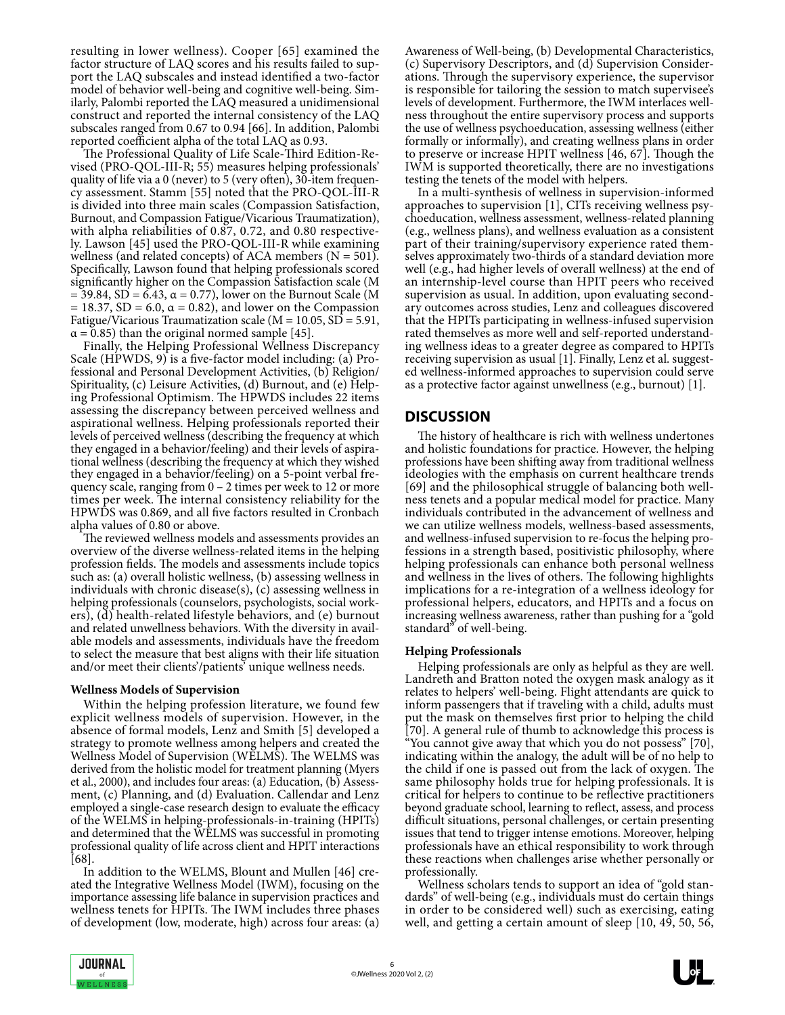resulting in lower wellness). Cooper [65] examined the factor structure of LAQ scores and his results failed to support the LAQ subscales and instead identified a two-factor model of behavior well-being and cognitive well-being. Similarly, Palombi reported the LAQ measured a unidimensional construct and reported the internal consistency of the LAQ subscales ranged from 0.67 to 0.94 [66]. In addition, Palombi reported coefficient alpha of the total LAQ as 0.93.

The Professional Quality of Life Scale-Third Edition-Revised (PRO-QOL-III-R; 55) measures helping professionals' quality of life via a 0 (never) to 5 (very often), 30-item frequency assessment. Stamm [55] noted that the PRO-QOL-III-R is divided into three main scales (Compassion Satisfaction, Burnout, and Compassion Fatigue/Vicarious Traumatization), with alpha reliabilities of 0.87, 0.72, and 0.80 respective- ly. Lawson [45] used the PRO-QOL-III-R while examining wellness (and related concepts) of ACA members ( $N = 501$ ) Specifically, Lawson found that helping professionals scored significantly higher on the Compassion Satisfaction scale (M  $= 39.84$ , SD = 6.43, α = 0.77), lower on the Burnout Scale (M  $= 18.37$ , SD = 6.0,  $\alpha = 0.82$ ), and lower on the Compassion Fatigue/Vicarious Traumatization scale ( $M = 10.05$ ,  $SD = 5.91$ ,  $\alpha$  = 0.85) than the original normed sample [45].

Finally, the Helping Professional Wellness Discrepancy<br>Scale (HPWDS, 9) is a five-factor model including: (a) Professional and Personal Development Activities, (b) Religion/ Spirituality, (c) Leisure Activities, (d) Burnout, and (e) Help- ing Professional Optimism. The HPWDS includes 22 items assessing the discrepancy between perceived wellness and aspirational wellness. Helping professionals reported their levels of perceived wellness (describing the frequency at which they engaged in a behavior/feeling) and their levels of aspirational wellness (describing the frequency at which they wished they engaged in a behavior/feeling) on a 5-point verbal fre quency scale, ranging from 0 – 2 times per week to 12 or more times per week. The internal consistency reliability for the HPWDS was 0.869, and all five factors resulted in Cronbach alpha values of 0.80 or above.

The reviewed wellness models and assessments provides an overview of the diverse wellness-related items in the helping profession fields. The models and assessments include topics such as: (a) overall holistic wellness, (b) assessing wellness in individuals with chronic disease(s), (c) assessing wellness in helping professionals (counselors, psychologists, social workers), (d) health-related lifestyle behaviors, and (e) burnout and related unwellness behaviors. With the diversity in available models and assessments, individuals have the freedom to select the measure that best aligns with their life situation and/or meet their clients'/patients' unique wellness needs.

#### **Wellness Models of Supervision**

Within the helping profession literature, we found few explicit wellness models of supervision. However, in the absence of formal models, Lenz and Smith [5] developed a strategy to promote wellness among helpers and created the Wellness Model of Supervision (WELMS). The WELMS was derived from the holistic model for treatment planning (Myers et al., 2000), and includes four areas: (a) Education, (b) Assessment, (c) Planning, and (d) Evaluation. Callendar and Lenz employed a single-case research design to evaluate the efficacy of the WELMS in helping-professionals-in-training (HPITs) and determined that the WELMS was successful in promoting professional quality of life across client and HPIT interactions [68].

In addition to the WELMS, Blount and Mullen [46] created the Integrative Wellness Model (IWM), focusing on the importance assessing life balance in supervision practices and wellness tenets for HPITs. The IWM includes three phases of development (low, moderate, high) across four areas: (a) Awareness of Well-being, (b) Developmental Characteristics, (c) Supervisory Descriptors, and (d) Supervision Considerations. Through the supervisory experience, the supervisor is responsible for tailoring the session to match supervisee's levels of development. Furthermore, the IWM interlaces wellness throughout the entire supervisory process and supports the use of wellness psychoeducation, assessing wellness (either formally or informally), and creating wellness plans in order to preserve or increase HPIT wellness [46, 67]. Though the IWM is supported theoretically, there are no investigations testing the tenets of the model with helpers.

In a multi-synthesis of wellness in supervision-informed approaches to supervision [1], CITs receiving wellness psychoeducation, wellness assessment, wellness-related planning (e.g., wellness plans), and wellness evaluation as a consistent part of their training/supervisory experience rated them- selves approximately two-thirds of a standard deviation more well (e.g., had higher levels of overall wellness) at the end of an internship-level course than HPIT peers who received supervision as usual. In addition, upon evaluating second- ary outcomes across studies, Lenz and colleagues discovered that the HPITs participating in wellness-infused supervision rated themselves as more well and self-reported understanding wellness ideas to a greater degree as compared to HPITs receiving supervision as usual [1]. Finally, Lenz et al. suggest ed wellness-informed approaches to supervision could serve as a protective factor against unwellness (e.g., burnout) [1].

## **DISCUSSION**

The history of healthcare is rich with wellness undertones and holistic foundations for practice. However, the helping professions have been shifting away from traditional wellness ideologies with the emphasis on current healthcare trends [69] and the philosophical struggle of balancing both wellness tenets and a popular medical model for practice. Many individuals contributed in the advancement of wellness and we can utilize wellness models, wellness-based assessments, and wellness-infused supervision to re-focus the helping professions in a strength based, positivistic philosophy, where helping professionals can enhance both personal wellness and wellness in the lives of others. The following highlights implications for a re-integration of a wellness ideology for professional helpers, educators, and HPITs and a focus on increasing wellness awareness, rather than pushing for a "gold standard" of well-being.

#### **Helping Professionals**

Helping professionals are only as helpful as they are well. Landreth and Bratton noted the oxygen mask analogy as it relates to helpers' well-being. Flight attendants are quick to inform passengers that if traveling with a child, adults must put the mask on themselves first prior to helping the child [70]. A general rule of thumb to acknowledge this process is "You cannot give away that which you do not possess" [70], indicating within the analogy, the adult will be of no help to the child if one is passed out from the lack of oxygen. The same philosophy holds true for helping professionals. It is critical for helpers to continue to be reflective practitioners beyond graduate school, learning to reflect, assess, and process difficult situations, personal challenges, or certain presenting issues that tend to trigger intense emotions. Moreover, helping professionals have an ethical responsibility to work through these reactions when challenges arise whether personally or professionally.

Wellness scholars tends to support an idea of "gold standards" of well-being (e.g., individuals must do certain things in order to be considered well) such as exercising, eating well, and getting a certain amount of sleep [10, 49, 50, 56,

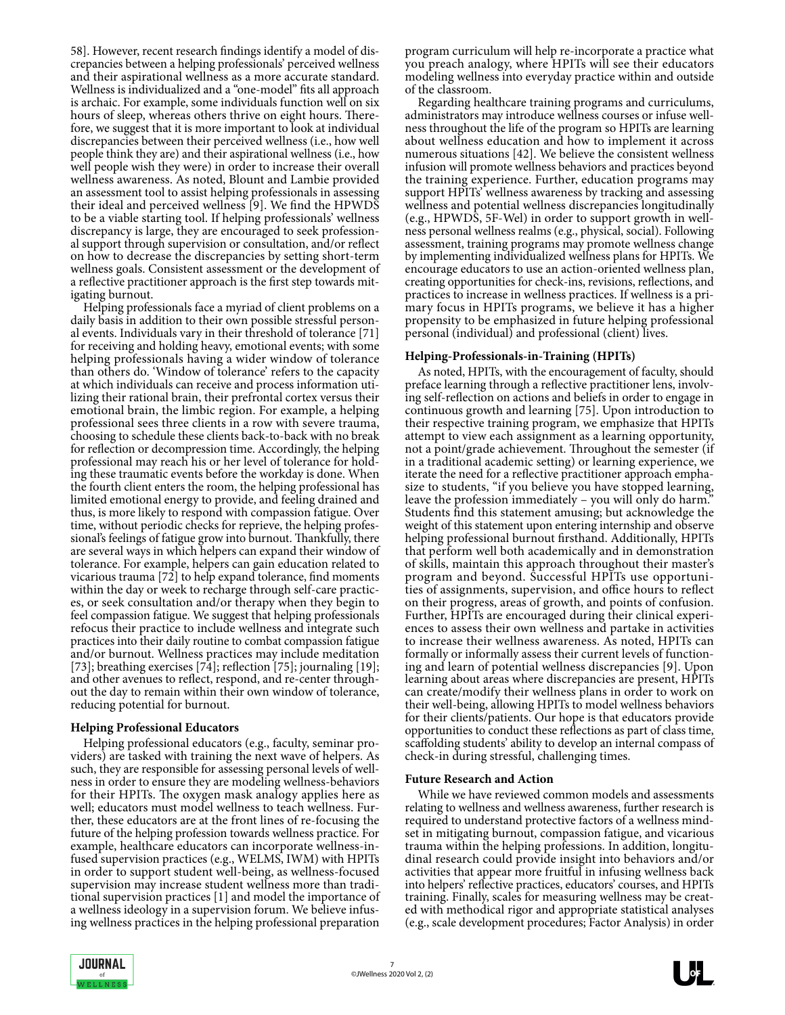58]. However, recent research findings identify a model of discrepancies between a helping professionals' perceived wellness and their aspirational wellness as a more accurate standard. Wellness is individualized and a "one-model" fits all approach is archaic. For example, some individuals function well on six hours of sleep, whereas others thrive on eight hours. Therefore, we suggest that it is more important to look at individual discrepancies between their perceived wellness (i.e., how well people think they are) and their aspirational wellness (i.e., how well people wish they were) in order to increase their overall wellness awareness. As noted, Blount and Lambie provided an assessment tool to assist helping professionals in assessing their ideal and perceived wellness [9]. We find the HPWDS to be a viable starting tool. If helping professionals' wellness discrepancy is large, they are encouraged to seek profession al support through supervision or consultation, and/or reflect on how to decrease the discrepancies by setting short-term wellness goals. Consistent assessment or the development of a reflective practitioner approach is the first step towards mitigating burnout.

Helping professionals face a myriad of client problems on a daily basis in addition to their own possible stressful personal events. Individuals vary in their threshold of tolerance [71] for receiving and holding heavy, emotional events; with some helping professionals having a wider window of tolerance than others do. 'Window of tolerance' refers to the capacity at which individuals can receive and process information uti lizing their rational brain, their prefrontal cortex versus their emotional brain, the limbic region. For example, a helping professional sees three clients in a row with severe trauma, choosing to schedule these clients back-to-back with no break for reflection or decompression time. Accordingly, the helping professional may reach his or her level of tolerance for hold ing these traumatic events before the workday is done. When the fourth client enters the room, the helping professional has limited emotional energy to provide, and feeling drained and thus, is more likely to respond with compassion fatigue. Over time, without periodic checks for reprieve, the helping professional's feelings of fatigue grow into burnout. Thankfully, there are several ways in which helpers can expand their window of tolerance. For example, helpers can gain education related to vicarious trauma [72] to help expand tolerance, find moments within the day or week to recharge through self-care practic- es, or seek consultation and/or therapy when they begin to feel compassion fatigue. We suggest that helping professionals refocus their practice to include wellness and integrate such practices into their daily routine to combat compassion fatigue and/or burnout. Wellness practices may include meditation [73]; breathing exercises [74]; reflection [75]; journaling [19]; and other avenues to reflect, respond, and re-center throughout the day to remain within their own window of tolerance, reducing potential for burnout.

#### **Helping Professional Educators**

Helping professional educators (e.g., faculty, seminar providers) are tasked with training the next wave of helpers. As such, they are responsible for assessing personal levels of wellness in order to ensure they are modeling wellness-behaviors for their HPITs. The oxygen mask analogy applies here as well; educators must model wellness to teach wellness. Fur- ther, these educators are at the front lines of re-focusing the future of the helping profession towards wellness practice. For example, healthcare educators can incorporate wellness-infused supervision practices (e.g., WELMS, IWM) with HPITs in order to support student well-being, as wellness-focused supervision may increase student wellness more than traditional supervision practices [1] and model the importance of a wellness ideology in a supervision forum. We believe infus ing wellness practices in the helping professional preparation program curriculum will help re-incorporate a practice what you preach analogy, where HPITs will see their educators modeling wellness into everyday practice within and outside of the classroom.

Regarding healthcare training programs and curriculums, administrators may introduce wellness courses or infuse wellness throughout the life of the program so HPITs are learning about wellness education and how to implement it across numerous situations [42]. We believe the consistent wellness infusion will promote wellness behaviors and practices beyond the training experience. Further, education programs may support HPITs' wellness awareness by tracking and assessing wellness and potential wellness discrepancies longitudinally (e.g., HPWDS, 5F-Wel) in order to support growth in wellness personal wellness realms (e.g., physical, social). Following assessment, training programs may promote wellness change by implementing individualized wellness plans for HPITs. We encourage educators to use an action-oriented wellness plan, creating opportunities for check-ins, revisions, reflections, and practices to increase in wellness practices. If wellness is a primary focus in HPITs programs, we believe it has a higher propensity to be emphasized in future helping professional personal (individual) and professional (client) lives.

#### **Helping-Professionals-in-Training (HPITs)**

As noted, HPITs, with the encouragement of faculty, should preface learning through a reflective practitioner lens, involv ing self-reflection on actions and beliefs in order to engage in continuous growth and learning [75]. Upon introduction to their respective training program, we emphasize that HPITs attempt to view each assignment as a learning opportunity, not a point/grade achievement. Throughout the semester (if in a traditional academic setting) or learning experience, we size to students, "if you believe you have stopped learning, leave the profession immediately - you will only do harm. Students find this statement amusing; but acknowledge the weight of this statement upon entering internship and observe helping professional burnout firsthand. Additionally, HPITs that perform well both academically and in demonstration of skills, maintain this approach throughout their master's program and beyond. Successful HPITs use opportuni- ties of assignments, supervision, and office hours to reflect on their progress, areas of growth, and points of confusion. Further, HPITs are encouraged during their clinical experiences to assess their own wellness and partake in activities to increase their wellness awareness. As noted, HPITs can formally or informally assess their current levels of functioning and learn of potential wellness discrepancies [9]. Upon learning about areas where discrepancies are present, HPITs can create/modify their wellness plans in order to work on their well-being, allowing HPITs to model wellness behaviors for their clients/patients. Our hope is that educators provide opportunities to conduct these reflections as part of class time, scaffolding students' ability to develop an internal compass of check-in during stressful, challenging times.

#### **Future Research and Action**

While we have reviewed common models and assessments relating to wellness and wellness awareness, further research is required to understand protective factors of a wellness mind- set in mitigating burnout, compassion fatigue, and vicarious trauma within the helping professions. In addition, longitudinal research could provide insight into behaviors and/or activities that appear more fruitful in infusing wellness back into helpers' reflective practices, educators' courses, and HPITs training. Finally, scales for measuring wellness may be created with methodical rigor and appropriate statistical analyses (e.g., scale development procedures; Factor Analysis) in order

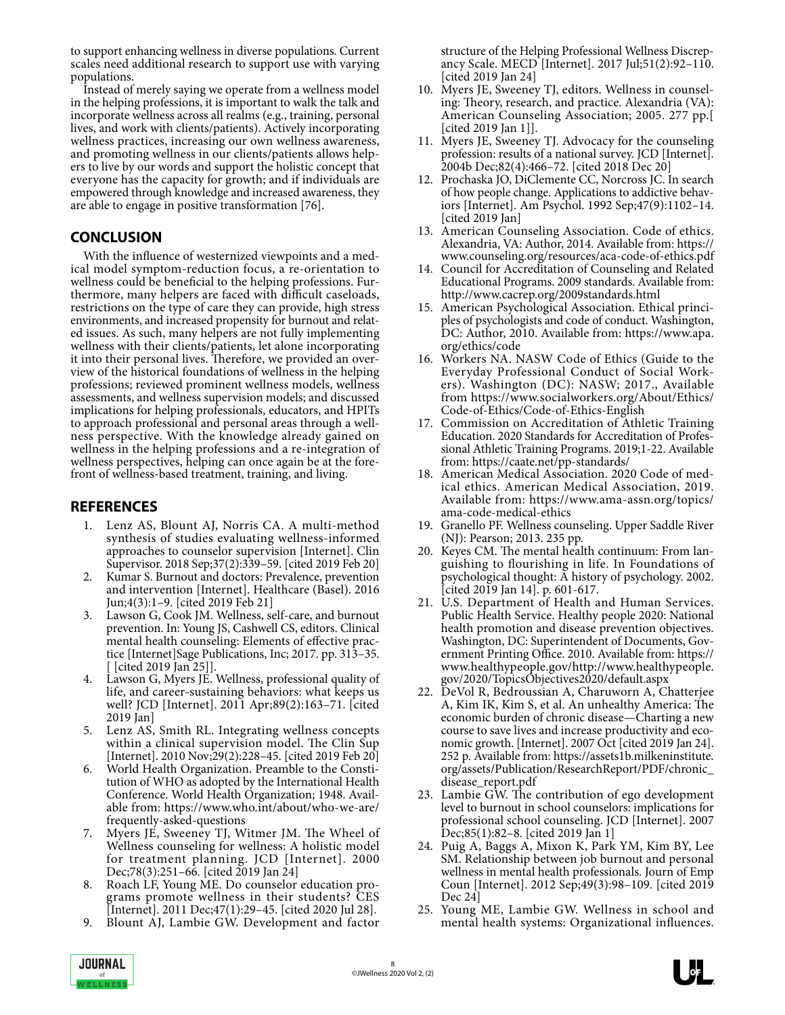to support enhancing wellness in diverse populations. Current scales need additional research to support use with varying populations.

Instead of merely saying we operate from a wellness model in the helping professions, it is important to walk the talk and incorporate wellness across all realms (e.g., training, personal lives, and work with clients/patients). Actively incorporating wellness practices, increasing our own wellness awareness, and promoting wellness in our clients/patients allows helpers to live by our words and support the holistic concept that everyone has the capacity for growth; and if individuals are empowered through knowledge and increased awareness, they are able to engage in positive transformation [76].

# **CONCLUSION**

With the influence of westernized viewpoints and a medical model symptom-reduction focus, a re-orientation to wellness could be beneficial to the helping professions. Furthermore, many helpers are faced with difficult caseloads, restrictions on the type of care they can provide, high stress environments, and increased propensity for burnout and related issues. As such, many helpers are not fully implementing wellness with their clients/patients, let alone incorporating it into their personal lives. Therefore, we provided an overview of the historical foundations of wellness in the helping professions; reviewed prominent wellness models, wellness assessments, and wellness supervision models; and discussed implications for helping professionals, educators, and HPITs to approach professional and personal areas through a wellness perspective. With the knowledge already gained on wellness in the helping professions and a re-integration of wellness perspectives, helping can once again be at the fore-<br>front of wellness-based treatment, training, and living.

# **REFERENCES**

- 1. Lenz AS, Blount AJ, Norris CA. A multi-method synthesis of studies evaluating wellness-informed approaches to counselor supervision [Internet]. Clin Supervisor. 2018 Sep;37(2):339–59. [cited 2019 Feb 20]
- 2. Kumar S. Burnout and doctors: Prevalence, prevention and intervention [Internet]. Healthcare (Basel). 2016 Jun;4(3):1–9. [cited 2019 Feb 21]
- Lawson G, Cook JM. Wellness, self-care, and burnout prevention. In: Young JS, Cashwell CS, editors. Clinical mental health counseling: Elements of effective prac tice [Internet]Sage Publications, Inc; 2017. pp. 313–35. [ [cited 2019 Jan 25]].
- 4. Lawson G, Myers JE. Wellness, professional quality of life, and career-sustaining behaviors: what keeps us well? JCD [Internet]. 2011 Apr;89(2):163–71. [cited 2019 Jan]
- 5. Lenz AS, Smith RL. Integrating wellness concepts within a clinical supervision model. The Clin Sup [Internet]. 2010 Nov;29(2):228–45. [cited 2019 Feb 20]
- 6. World Health Organization. Preamble to the Constitution of WHO as adopted by the International Health Conference. World Health Organization; 1948. Available from: https://www.who.int/about/who-we-are/ frequently-asked-questions
- 7. Myers JE, Sweeney TJ, Witmer JM. The Wheel of Wellness counseling for wellness: A holistic model for treatment planning. JCD [Internet]. 2000 Dec;78(3):251–66. [cited 2019 Jan 24]
- 8. Roach LF, Young ME. Do counselor education pro- grams promote wellness in their students? CES [Internet]. 2011 Dec;47(1):29–45. [cited 2020 Jul 28].
- 9. Blount AJ, Lambie GW. Development and factor

structure of the Helping Professional Wellness Discrepancy Scale. MECD [Internet]. 2017 Jul;51(2):92–110. [cited 2019 Jan 24]

- 10. Myers JE, Sweeney TJ, editors. Wellness in counseling: Theory, research, and practice. Alexandria (VA): American Counseling Association; 2005. 277 pp.[ [cited 2019 Jan 1]].
- 11. Myers JE, Sweeney TJ. Advocacy for the counseling profession: results of a national survey. JCD [Internet]. 2004b Dec;82(4):466–72. [cited 2018 Dec 20]
- 12. Prochaska JO, DiClemente CC, Norcross JC. In search of how people change. Applications to addictive behaviors [Internet]. Am Psychol. 1992 Sep;47(9):1102–14. [cited 2019 Jan]
- 13. American Counseling Association. Code of ethics. Alexandria, VA: Author, 2014. Available from: https:// www.counseling.org/resources/aca-code-of-ethics.pdf
- 14. Council for Accreditation of Counseling and Related Educational Programs. 2009 standards. Available from: http://www.cacrep.org/2009standards.html
- 15. American Psychological Association. Ethical principles of psychologists and code of conduct. Washington, DC: Author, 2010. Available from: https://www.apa. org/ethics/code
- 16. Workers NA. NASW Code of Ethics (Guide to the Everyday Professional Conduct of Social Work- ers). Washington (DC): NASW; 2017., Available from https://www.socialworkers.org/About/Ethics/ Code-of-Ethics/Code-of-Ethics-English
- 17. Commission on Accreditation of Athletic Training Education. 2020 Standards for Accreditation of Profes sional Athletic Training Programs. 2019;1-22. Available from: https://caate.net/pp-standards/
- 18. American Medical Association. 2020 Code of med- ical ethics. American Medical Association, 2019. Available from: https://www.ama-assn.org/topics/ ama-code-medical-ethics
- 19. Granello PF. Wellness counseling. Upper Saddle River (NJ): Pearson; 2013. 235 pp.
- 20. Keyes CM. The mental health continuum: From languishing to flourishing in life. In Foundations of psychological thought: A history of psychology. 2002. [cited 2019 Jan 14]. p. 601-617.
- 21. U.S. Department of Health and Human Services. Public Health Service. Healthy people 2020: National health promotion and disease prevention objectives. Washington, DC: Superintendent of Documents, Gov ernment Printing Office. 2010. Available from: https:// www.healthypeople.gov/http://www.healthypeople. gov/2020/TopicsObjectives2020/default.aspx
- 22. DeVol R, Bedroussian A, Charuworn A, Chatterjee A, Kim IK, Kim S, et al. An unhealthy America: The economic burden of chronic disease—Charting a new course to save lives and increase productivity and economic growth. [Internet]. 2007 Oct [cited 2019 Jan 24]. 252 p. Available from: https://assets1b.milkeninstitute. org/assets/Publication/ResearchReport/PDF/chronic\_ disease\_report.pdf
- 23. Lambie GW. The contribution of ego development level to burnout in school counselors: implications for professional school counseling. JCD [Internet]. 2007 Dec;85(1):82–8. [cited 2019 Jan 1]
- 24. Puig A, Baggs A, Mixon K, Park YM, Kim BY, Lee SM. Relationship between job burnout and personal wellness in mental health professionals. Journ of Emp Coun [Internet]. 2012 Sep;49(3):98–109. [cited 2019 Dec 24]
- 25. Young ME, Lambie GW. Wellness in school and mental health systems: Organizational influences.

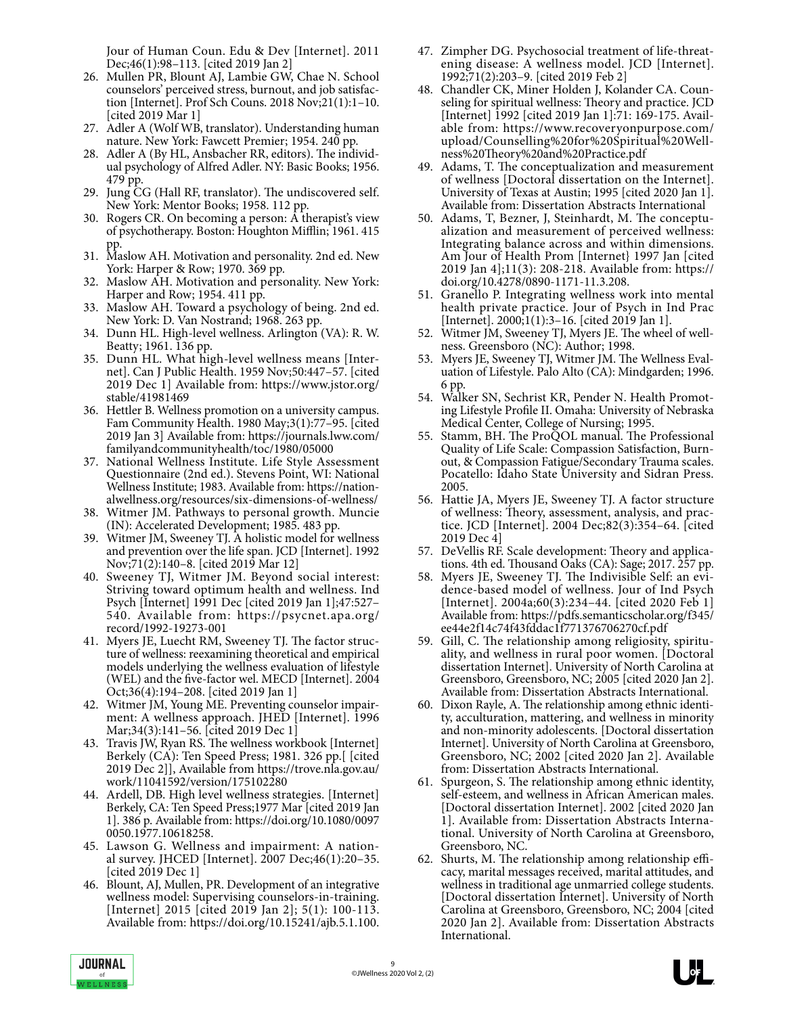Jour of Human Coun. Edu & Dev [Internet]. 2011 Dec;46(1):98–113. [cited 2019 Jan 2]

- 26. Mullen PR, Blount AJ, Lambie GW, Chae N. School counselors' perceived stress, burnout, and job satisfaction [Internet]. Prof Sch Couns. 2018 Nov;21(1):1–10. [cited 2019 Mar 1]
- 27. Adler A (Wolf WB, translator). Understanding human nature. New York: Fawcett Premier; 1954. 240 pp.
- 28. Adler A (By HL, Ansbacher RR, editors). The individual psychology of Alfred Adler. NY: Basic Books; 1956. 479 pp.
- 29. Jung CG (Hall RF, translator). The undiscovered self. New York: Mentor Books; 1958. 112 pp.
- 30. Rogers CR. On becoming a person: A therapist's view of psychotherapy. Boston: Houghton Mifflin; 1961. 415 pp.
- 31. Maslow AH. Motivation and personality. 2nd ed. New York: Harper & Row; 1970. 369 pp.
- 32. Maslow AH. Motivation and personality. New York: Harper and Row; 1954. 411 pp.
- 33. Maslow AH. Toward a psychology of being. 2nd ed. New York: D. Van Nostrand; 1968. 263 pp.
- 34. Dunn HL. High-level wellness. Arlington (VA): R. W. Beatty; 1961. 136 pp.
- 35. Dunn HL. What high-level wellness means [Inter- net]. Can J Public Health. 1959 Nov;50:447–57. [cited 2019 Dec 1] Available from: https://www.jstor.org/ stable/41981469
- 36. Hettler B. Wellness promotion on a university campus. Fam Community Health. 1980 May;3(1):77–95. [cited 2019 Jan 3] Available from: https://journals.lww.com/ familyandcommunityhealth/toc/1980/05000
- 37. National Wellness Institute. Life Style Assessment Questionnaire (2nd ed.). Stevens Point, WI: National Wellness Institute; 1983. Available from: https://nationalwellness.org/resources/six-dimensions-of-wellness/
- 38. Witmer JM. Pathways to personal growth. Muncie (IN): Accelerated Development; 1985. 483 pp.
- 39. Witmer JM, Sweeney TJ. A holistic model for wellness and prevention over the life span. JCD [Internet]. 1992 Nov;71(2):140–8. [cited 2019 Mar 12]
- 40. Sweeney TJ, Witmer JM. Beyond social interest: Striving toward optimum health and wellness. Ind Psych [Internet] 1991 Dec [cited 2019 Jan 1];47:527– 540. Available from: https://psycnet.apa.org/ record/1992-19273-001
- 41. Myers JE, Luecht RM, Sweeney TJ. The factor struc ture of wellness: reexamining theoretical and empirical models underlying the wellness evaluation of lifestyle (WEL) and the five-factor wel. MECD [Internet]. 2004 Oct;36(4):194–208. [cited 2019 Jan 1]
- 42. Witmer JM, Young ME. Preventing counselor impairment: A wellness approach. JHED [Internet]. 1996 Mar;34(3):141–56. [cited 2019 Dec 1]
- 43. Travis JW, Ryan RS. The wellness workbook [Internet] Berkely (CA): Ten Speed Press; 1981. 326 pp.[ [cited 2019 Dec 2]], Available from https://trove.nla.gov.au/ work/11041592/version/175102280
- 44. Ardell, DB. High level wellness strategies. [Internet] Berkely, CA: Ten Speed Press;1977 Mar [cited 2019 Jan 1]. 386 p. Available from: https://doi.org/10.1080/0097 0050.1977.10618258.
- 45. Lawson G. Wellness and impairment: A national survey. JHCED [Internet]. 2007 Dec;46(1):20–35. [cited 2019 Dec 1]
- 46. Blount, AJ, Mullen, PR. Development of an integrative wellness model: Supervising counselors-in-training. [Internet] 2015 [cited 2019 Jan 2]; 5(1): 100-113. Available from: https://doi.org/10.15241/ajb.5.1.100.
- 47. Zimpher DG. Psychosocial treatment of life-threatening disease: A wellness model. JCD [Internet]. 1992;71(2):203–9. [cited 2019 Feb 2]
- 48. Chandler CK, Miner Holden J, Kolander CA. Counseling for spiritual wellness: Theory and practice. JCD [Internet] 1992 [cited 2019 Jan 1]:71: 169-175. Available from: https://www.recoveryonpurpose.com/ upload/Counselling%20for%20Spiritual%20Wellness%20Theory%20and%20Practice.pdf
- 49. Adams, T. The conceptualization and measurement of wellness [Doctoral dissertation on the Internet]. University of Texas at Austin; 1995 [cited 2020 Jan 1]. Available from: Dissertation Abstracts International
- 50. Adams, T, Bezner, J, Steinhardt, M. The conceptu- alization and measurement of perceived wellness: Integrating balance across and within dimensions. Am Jour of Health Prom [Internet} 1997 Jan [cited 2019 Jan 4];11(3): 208-218. Available from: https:// doi.org/10.4278/0890-1171-11.3.208.
- 51. Granello P. Integrating wellness work into mental health private practice. Jour of Psych in Ind Prac [Internet]. 2000;1(1):3–16. [cited 2019 Jan 1].
- 52. Witmer JM, Sweeney TJ, Myers JE. The wheel of wellness. Greensboro (NC): Author; 1998.
- 53. Myers JE, Sweeney TJ, Witmer JM. The Wellness Evaluation of Lifestyle. Palo Alto (CA): Mindgarden; 1996. 6 pp.
- 54. Walker SN, Sechrist KR, Pender N. Health Promot- ing Lifestyle Profile II. Omaha: University of Nebraska Medical Center, College of Nursing; 1995.
- 55. Stamm, BH. The ProQOL manual. The Professional Quality of Life Scale: Compassion Satisfaction, Burnout, & Compassion Fatigue/Secondary Trauma scales. Pocatello: Idaho State University and Sidran Press. 2005.
- 56. Hattie JA, Myers JE, Sweeney TJ. A factor structure of wellness: Theory, assessment, analysis, and prac- tice. JCD [Internet]. 2004 Dec;82(3):354–64. [cited 2019 Dec 4]
- 57. DeVellis RF. Scale development: Theory and applications. 4th ed. Thousand Oaks (CA): Sage; 2017. 257 pp.
- 58. Myers JE, Sweeney TJ. The Indivisible Self: an evi- dence-based model of wellness. Jour of Ind Psych [Internet]. 2004a;60(3):234–44. [cited 2020 Feb 1] Available from: https://pdfs.semanticscholar.org/f345/ ee44e2f14c74f43fddac1f771376706270cf.pdf
- 59. Gill, C. The relationship among religiosity, spiritu- ality, and wellness in rural poor women. [Doctoral dissertation Internet]. University of North Carolina at Greensboro, Greensboro, NC; 2005 [cited 2020 Jan 2]. Available from: Dissertation Abstracts International.
- 60. Dixon Rayle, A. The relationship among ethnic identity, acculturation, mattering, and wellness in minority and non-minority adolescents. [Doctoral dissertation Internet]. University of North Carolina at Greensboro, Greensboro, NC; 2002 [cited 2020 Jan 2]. Available from: Dissertation Abstracts International.
- 61. Spurgeon, S. The relationship among ethnic identity, self-esteem, and wellness in African American males. [Doctoral dissertation Internet]. 2002 [cited 2020 Jan 1]. Available from: Dissertation Abstracts Interna- tional. University of North Carolina at Greensboro, Greensboro, NC.
- 62. Shurts, M. The relationship among relationship efficacy, marital messages received, marital attitudes, and wellness in traditional age unmarried college students. [Doctoral dissertation Internet]. University of North Carolina at Greensboro, Greensboro, NC; 2004 [cited 2020 Jan 2]. Available from: Dissertation Abstracts International.